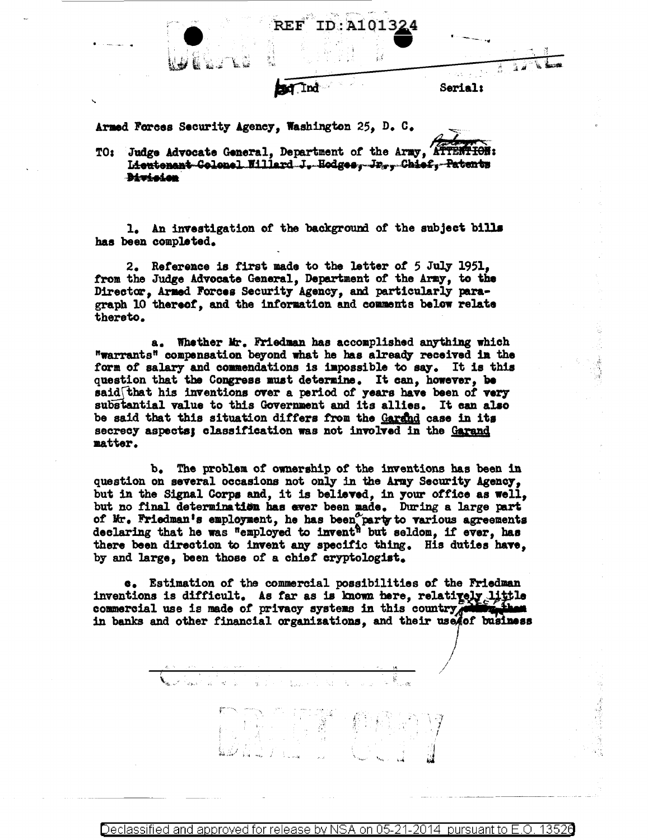

Armed Forces Security Agency, Washington 25, D. C.

TO: Judge Advocate General, Department of the Army, ATTENTION: Lieutenant-Golonel Willard J. Hodges, Jr., Chief, Patents **Bivicion** 

1. An investigation of the background of the subject bills has been completed.

2. Reference is first made to the letter of 5 July 1951. from the Judge Advocate General, Department of the Army, to the Director, Armed Forces Security Agency, and particularly paragraph 10 thereof, and the information and comments below relate thereto.

a. Whether Mr. Friedman has accomplished anything which "warrants" compensation beyond what he has already received in the form of salary and commendations is impossible to say. It is this question that the Congress must determine. It can, however, be said that his inventions over a period of years have been of very substantial value to this Government and its allies. It can also be said that this situation differs from the Garand case in its secrecy aspects; classification was not involved in the Garand matter.

b. The problem of ownership of the inventions has been in question on several occasions not only in the Army Security Agency. but in the Signal Corps and, it is believed, in your office as well, but no final determination has ever been made. During a large part of Mr. Friedman's employment, he has been party to various agreements declaring that he was "employed to invent" but seldom, if ever, has there been direction to invent any specific thing. His duties have. by and large, been those of a chief cryptologist.

c. Estimation of the commercial possibilities of the Friedman inventions is difficult. As far as is known here, relatively little commercial use is made of privacy systems in this country in banks and other financial organizations, and their usefof business

이 수 가지 일어 있는 것이다.<br>기분 시키는 이 회사를 하는 것이다.<br>그리고 시키는 것이 기분이다.

Declassified and approved for release by NSA on 05-21pursuant to E.O. 13526 2014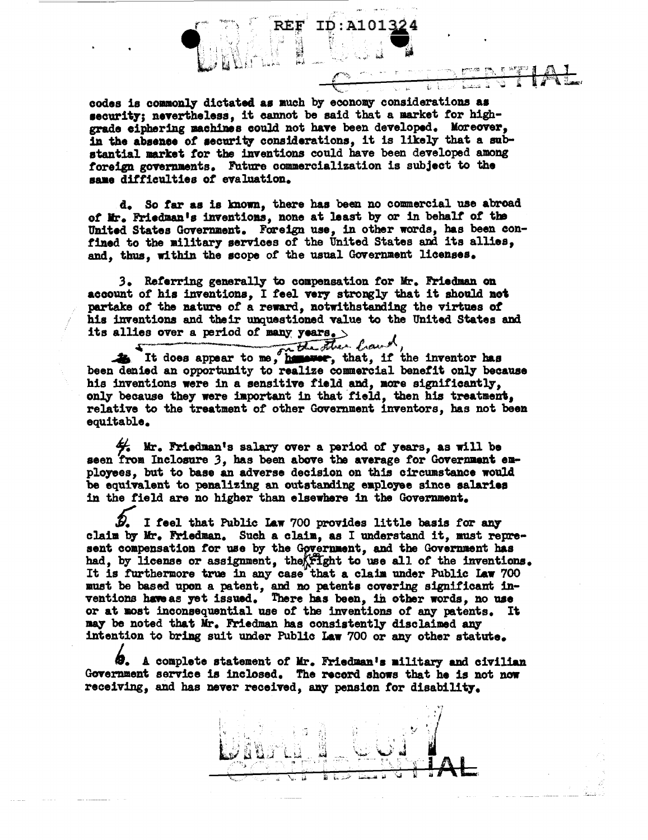

codes is commonly dictated as much by economy considerations as security; nevertheless, it cannot be said that a market for highgrade ciphering machines could not have been developed. Moreover, in the absence of security considerations, it is likely that a substantial market for the inventions could have been developed among foreign governments. Future commercialization is subject to the same difficulties of evaluation.

d. So far as is known, there has been no commercial use abroad of Mr. Friedman's inventions, none at least by or in behalf of the United States Government. Foreign use, in other words, has been confined to the military services of the United States and its allies, and, thus, within the scope of the usual Government licenses.

3. Referring generally to compensation for Mr. Friedman on account of his inventions. I feel very strongly that it should not partake of the nature of a reward, notwithstanding the virtues of his inventions and their unquestioned value to the United States and its allies over a period of many years.  $>$ 

It does appear to me, he street, that, if the inventor has been denied an opportunity to realize commercial benefit only because his inventions were in a sensitive field and, more significantly, only because they were important in that field, then his treatment, relative to the treatment of other Government inventors, has not been equitable.

 $\frac{1}{2}$  Mr. Friedman's salary over a period of years, as will be seen from Inclosure 3, has been above the average for Government employees, but to base an adverse decision on this circumstance would be equivalent to penalizing an outstanding employee since salaries in the field are no higher than elsewhere in the Government.

I feel that Public Law 700 provides little basis for any claim by Mr. Friedman. Such a claim, as I understand it, must represent compensation for use by the Government, and the Government has had, by license or assignment, the fight to use all of the inventions. It is furthermore true in any case that a claim under Public Law 700 must be based upon a patent, and no patents covering significant inventions have as yet issued. There has been, in other words, no use or at most inconsequential use of the inventions of any patents. It may be noted that Mr. Friedman has consistently disclaimed any intention to bring suit under Public Law 700 or any other statute.

@. A complete statement of Mr. Friedman's military and civilian Government service is inclosed. The record shows that he is not now receiving, and has never received, any pension for disability.

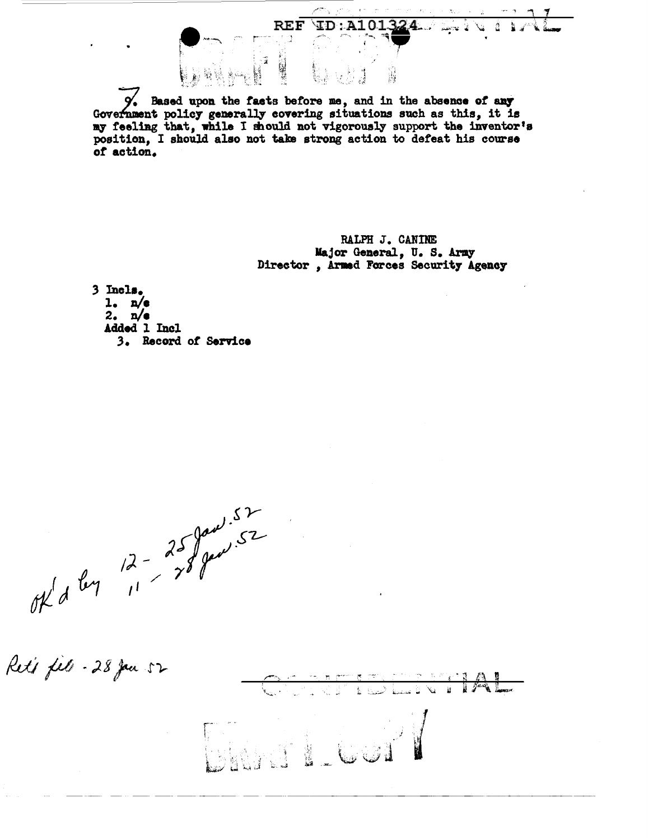Based upon the facts before me, and in the absence of any Government policy generally covering situations such as this, it is my feeling that, while I should not vigorously support the inventor's position, I should also not take strong action to defeat his course of action.

**REF** 

RALPH J. CANINE Major General, U.S. Army Director, Armed Forces Security Agency

 $\texttt{ID:} \texttt{A101324...}$ 

لا تحسن

ă.

3 Incls.  $l_a$   $n/e$ 2.  $n/e$ Added 1 Incl 3. Record of Service

 $\frac{12}{7^{6}}\int_{1}^{5}e^{4x}dx$ 

Reti fils - 28 Jan 52  $\overline{\mathscr{C}}$  $\overline{\mathbf{a}}$  $\int f^{2} f(x) dx$ ے<br>اما استعمال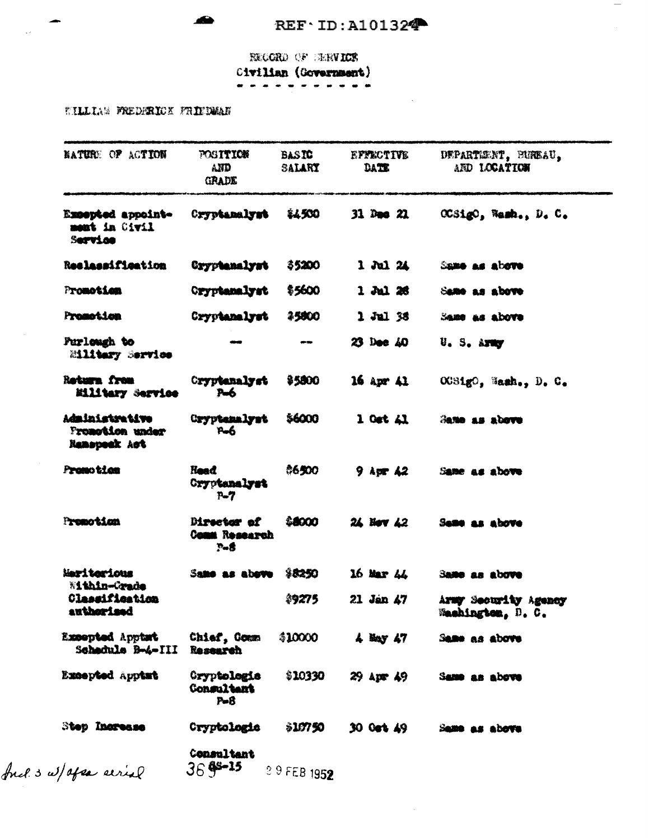$\overline{\phantom{a}}$ 

RECORD OF ELRVICE Civilian (Government)

TILLIAM FREDERICK FRIEDMAN

 $\bullet$ 

| <b>NATURE OF ACTION</b>                                  | <b>FOSITION</b><br>and<br><b>GRADE</b>      | <b>BASTC</b><br><b>SALARY</b> | EFACTIVE<br>DATE.                | DEPARTEENT, BUREAU,<br>AND LOCATION       |
|----------------------------------------------------------|---------------------------------------------|-------------------------------|----------------------------------|-------------------------------------------|
| Excepted appoint-<br>mont in Civil<br>Service            | Cryptanalyst                                | \$4500                        | $31$ Dao $21$                    | OCSigO, Wash., D. C.                      |
| Reslassifieation                                         | Cryptenalyst                                | \$5200                        | $1$ Jul 24                       | Same as above                             |
| Promotion                                                | <b>Cryptanalyst</b>                         | \$5600                        | $1$ $\frac{3}{1}$ $\frac{26}{1}$ | Same as above                             |
| Promotion                                                | Cryptanalyst                                | \$5800                        | 1 Jul 38                         | Same as above                             |
| Purlough to<br>Military Service                          |                                             | an me                         | 23 Dec 40                        | U.S. Army                                 |
| Return from<br><b>Eilitary Service</b>                   | Cryptenalyst<br>Pm6                         | \$5800                        | $16$ Apr $41$                    | OCSigO, Wash., D. C.                      |
| Administrative<br>Promotion under<br><b>Namepook</b> Act | Cryptenalyst<br><b>P-6</b>                  | \$6000                        | $1$ Oct $\Delta 1$               | Same as above                             |
| Premotion                                                | <b>Head</b><br>Cryptanalyst<br>$P-7$        | \$6500                        | 9 Apr 42                         | Same as above                             |
| Premotinn                                                | Director of<br>Comm Research<br>$P - 5$     | \$ 6000                       | 24 Nov 42                        | Same as above                             |
| Meriterious<br>Within-Crade                              | Same as above                               | \$3250                        | 16 Mar 44                        | <b>Same</b> as above                      |
| Classification<br>authorised                             |                                             | \$9275                        | $21$ Jan $\angle 47$             | Army Security Agency<br>Washington, D. C. |
| Excepted Apptat<br>Schedule B-4-III                      | Chief, Comm<br>Research                     | \$10000                       | $4$ May $47$                     | Same as above                             |
| Excepted Apptmt                                          | Cryptologic<br><b>Consultant</b><br>$P - B$ | \$10330                       | 29 Apr 49                        | Same as above                             |
| Step Increase                                            | Cryptologic                                 | \$10750                       | 30 Oct 49                        | Same as above                             |
| fuel 3 w/ apear serial                                   | Consultant<br>$36$ f <sup>2-15</sup>        | 3 9 FEB 1952                  |                                  |                                           |

 $\sim$